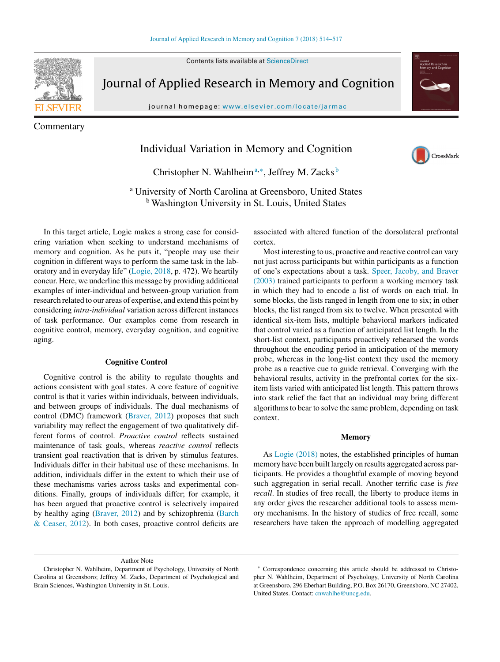Contents lists available at [ScienceDirect](http://www.sciencedirect.com/science/journal/22113681)

# Journal of Applied Research in Memory and Cognition

journal homepage: [www.elsevier.com/locate/jarmac](http://www.elsevier.com/locate/jarmac)



# Individual Variation in Memory and Cognition

Christopher N. Wahlheim<sup>a,∗</sup>, Jeffrey M. Zacks<sup>b</sup>

<sup>a</sup> University of North Carolina at Greensboro, United States <sup>b</sup> Washington University in St. Louis, United States

In this target article, Logie makes a strong case for considering variation when seeking to understand mechanisms of memory and cognition. As he puts it, "people may use their cognition in different ways to perform the same task in the laboratory and in everyday life" ([Logie,](#page-3-0) [2018,](#page-3-0) p. 472). We heartily concur. Here, we underline this message by providing additional examples of inter-individual and between-group variation from research related to our areas of expertise, and extend this point by considering *intra-individual* variation across different instances of task performance. Our examples come from research in cognitive control, memory, everyday cognition, and cognitive aging.

## **Cognitive Control**

Cognitive control is the ability to regulate thoughts and actions consistent with goal states. A core feature of cognitive control is that it varies within individuals, between individuals, and between groups of individuals. The dual mechanisms of control (DMC) framework [\(Braver,](#page-2-0) [2012\)](#page-2-0) proposes that such variability may reflect the engagement of two qualitatively different forms of control. *Proactive control* reflects sustained maintenance of task goals, whereas *reactive control* reflects transient goal reactivation that is driven by stimulus features. Individuals differ in their habitual use of these mechanisms. In addition, individuals differ in the extent to which their use of these mechanisms varies across tasks and experimental conditions. Finally, groups of individuals differ; for example, it has been argued that proactive control is selectively impaired by healthy aging ([Braver,](#page-2-0) [2012\)](#page-2-0) and by schizophrenia [\(Barch](#page-2-0) [&](#page-2-0) [Ceaser,](#page-2-0) [2012\).](#page-2-0) In both cases, proactive control deficits are associated with altered function of the dorsolateral prefrontal cortex.

Most interesting to us, proactive and reactive control can vary not just across participants but within participants as a function of one's expectations about a task. [Speer,](#page-3-0) [Jacoby,](#page-3-0) [and](#page-3-0) [Braver](#page-3-0) [\(2003\)](#page-3-0) trained participants to perform a working memory task in which they had to encode a list of words on each trial. In some blocks, the lists ranged in length from one to six; in other blocks, the list ranged from six to twelve. When presented with identical six-item lists, multiple behavioral markers indicated that control varied as a function of anticipated list length. In the short-list context, participants proactively rehearsed the words throughout the encoding period in anticipation of the memory probe, whereas in the long-list context they used the memory probe as a reactive cue to guide retrieval. Converging with the behavioral results, activity in the prefrontal cortex for the sixitem lists varied with anticipated list length. This pattern throws into stark relief the fact that an individual may bring different algorithmsto bear to solve the same problem, depending on task context.

#### **Memory**

As [Logie](#page-3-0) [\(2018\)](#page-3-0) notes, the established principles of human memory have been built largely on results aggregated across participants. He provides a thoughtful example of moving beyond such aggregation in serial recall. Another terrific case is *free recall*. In studies of free recall, the liberty to produce items in any order gives the researcher additional tools to assess memory mechanisms. In the history of studies of free recall, some researchers have taken the approach of modelling aggregated





Author Note

Christopher N. Wahlheim, Department of Psychology, University of North Carolina at Greensboro; Jeffrey M. Zacks, Department of Psychological and Brain Sciences, Washington University in St. Louis.

<sup>∗</sup> Correspondence concerning this article should be addressed to Christopher N. Wahlheim, Department of Psychology, University of North Carolina at Greensboro, 296 Eberhart Building, P.O. Box 26170, Greensboro, NC 27402, United States. Contact: [cnwahlhe@uncg.edu](mailto:cnwahlhe@uncg.edu).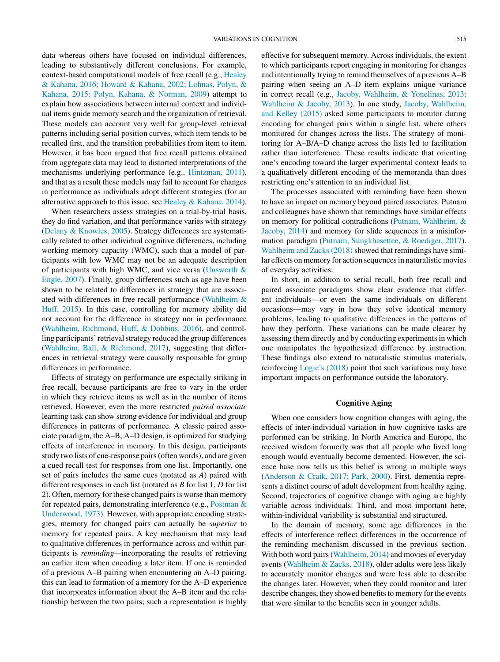data whereas others have focused on individual differences, leading to substantively different conclusions. For example, context-based computational models of free recall (e.g., [Healey](#page-2-0) [&](#page-2-0) [Kahana,](#page-2-0) [2016;](#page-2-0) [Howard](#page-2-0) [&](#page-2-0) [Kahana,](#page-2-0) [2002;](#page-2-0) [Lohnas,](#page-2-0) [Polyn,](#page-2-0) [&](#page-2-0) [Kahana,](#page-2-0) [2015;](#page-2-0) [Polyn,](#page-2-0) [Kahana,](#page-2-0) [&](#page-2-0) [Norman,](#page-2-0) [2009\)](#page-2-0) attempt to explain how associations between internal context and individual items guide memory search and the organization of retrieval. These models can account very well for group-level retrieval patterns including serial position curves, which item tends to be recalled first, and the transition probabilities from item to item. However, it has been argued that free recall patterns obtained from aggregate data may lead to distorted interpretations of the mechanisms underlying performance (e.g., [Hintzman,](#page-2-0) [2011\),](#page-2-0) and that as a result these models may fail to account for changes in performance as individuals adopt different strategies (for an alternative approach to this issue, see [Healey](#page-2-0) [&](#page-2-0) [Kahana,](#page-2-0) [2014\).](#page-2-0)

When researchers assess strategies on a trial-by-trial basis, they do find variation, and that performance varies with strategy [\(Delany](#page-2-0) [&](#page-2-0) [Knowles,](#page-2-0) [2005\).](#page-2-0) Strategy differences are systematically related to other individual cognitive differences, including working memory capacity (WMC), such that a model of participants with low WMC may not be an adequate description of participants with high WMC, and vice versa [\(Unsworth](#page-3-0) [&](#page-3-0) [Engle,](#page-3-0) [2007\).](#page-3-0) Finally, group differences such as age have been shown to be related to differences in strategy that are associated with differences in free recall performance [\(Wahlheim](#page-3-0) [&](#page-3-0) [Huff,](#page-3-0) [2015\).](#page-3-0) In this case, controlling for memory ability did not account for the difference in strategy nor in performance [\(Wahlheim,](#page-3-0) [Richmond,](#page-3-0) [Huff,](#page-3-0) [&](#page-3-0) [Dobbins,](#page-3-0) [2016\),](#page-3-0) and controlling participants' retrieval strategy reduced the group differences [\(Wahlheim,](#page-3-0) [Ball,](#page-3-0) [&](#page-3-0) [Richmond,](#page-3-0) [2017\),](#page-3-0) suggesting that differences in retrieval strategy were causally responsible for group differences in performance.

Effects of strategy on performance are especially striking in free recall, because participants are free to vary in the order in which they retrieve items as well as in the number of items retrieved. However, even the more restricted *paired associate* learning task can show strong evidence for individual and group differences in patterns of performance. A classic paired associate paradigm, the A–B, A–D design, is optimized for studying effects of interference in memory. In this design, participants study two lists of cue-response pairs(often words), and are given a cued recall test for responses from one list. Importantly, one set of pairs includes the same cues (notated as *A*) paired with different responses in each list (notated as *B* for list 1, *D* for list 2). Often, memory forthese changed pairsis worse than memory for repeated pairs, demonstrating interference (e.g., [Postman](#page-3-0) [&](#page-3-0) [Underwood,](#page-3-0) [1973\).](#page-3-0) However, with appropriate encoding strategies, memory for changed pairs can actually be *superior* to memory for repeated pairs. A key mechanism that may lead to qualitative differences in performance across and within participants is *reminding—*incorporating the results of retrieving an earlier item when encoding a later item. If one is reminded of a previous A–B pairing when encountering an A–D pairing, this can lead to formation of a memory for the A–D experience that incorporates information about the A–B item and the relationship between the two pairs; such a representation is highly effective for subsequent memory. Across individuals, the extent to which participants report engaging in monitoring for changes and intentionally trying to remind themselves of a previous A–B pairing when seeing an A–D item explains unique variance in correct recall (e.g., [Jacoby,](#page-3-0) [Wahlheim,](#page-3-0) [&](#page-3-0) [Yonelinas,](#page-3-0) [2013;](#page-3-0) [Wahlheim](#page-3-0) [&](#page-3-0) [Jacoby,](#page-3-0) [2013\).](#page-3-0) In one study, [Jacoby,](#page-2-0) [Wahlheim,](#page-2-0) [and](#page-2-0) [Kelley](#page-2-0) [\(2015\)](#page-2-0) asked some participants to monitor during encoding for changed pairs within a single list, where others monitored for changes across the lists. The strategy of monitoring for A–B/A–D change across the lists led to facilitation rather than interference. These results indicate that orienting one's encoding toward the larger experimental context leads to a qualitatively different encoding of the memoranda than does restricting one's attention to an individual list.

The processes associated with reminding have been shown to have an impact on memory beyond paired associates. Putnam and colleagues have shown that remindings have similar effects on memory for political contradictions [\(Putnam,](#page-3-0) [Wahlheim,](#page-3-0) [&](#page-3-0) [Jacoby,](#page-3-0) [2014\)](#page-3-0) and memory for slide sequences in a misinformation paradigm [\(Putnam,](#page-3-0) [Sungkhasettee,](#page-3-0) [&](#page-3-0) [Roediger,](#page-3-0) [2017\).](#page-3-0) [Wahlheim](#page-3-0) [and](#page-3-0) [Zacks](#page-3-0) [\(2018\)](#page-3-0) showed that remindings have similar effects on memory for action sequencesin naturalistic movies of everyday activities.

In short, in addition to serial recall, both free recall and paired associate paradigms show clear evidence that different individuals—or even the same individuals on different occasions—may vary in how they solve identical memory problems, leading to qualitative differences in the patterns of how they perform. These variations can be made clearer by assessing them directly and by conducting experiments in which one manipulates the hypothesized difference by instruction. These findings also extend to naturalistic stimulus materials, reinforcing [Logie's](#page-3-0) [\(2018\)](#page-3-0) point that such variations may have important impacts on performance outside the laboratory.

#### **Cognitive Aging**

When one considers how cognition changes with aging, the effects of inter-individual variation in how cognitive tasks are performed can be striking. In North America and Europe, the received wisdom formerly was that all people who lived long enough would eventually become demented. However, the science base now tells us this belief is wrong in multiple ways [\(Anderson](#page-2-0) [&](#page-2-0) [Craik,](#page-2-0) [2017;](#page-2-0) [Park,](#page-2-0) [2000\).](#page-2-0) First, dementia represents a distinct course of adult development from healthy aging. Second, trajectories of cognitive change with aging are highly variable across individuals. Third, and most important here, within-individual variability is substantial and structured.

In the domain of memory, some age differences in the effects of interference reflect differences in the occurrence of the reminding mechanism discussed in the previous section. With both word pairs([Wahlheim,](#page-3-0) [2014\)](#page-3-0) and movies of everyday events [\(Wahlheim](#page-3-0) [&](#page-3-0) [Zacks,](#page-3-0) [2018\),](#page-3-0) older adults were less likely to accurately monitor changes and were less able to describe the changes later. However, when they could monitor and later describe changes, they showed benefits to memory for the events that were similar to the benefits seen in younger adults.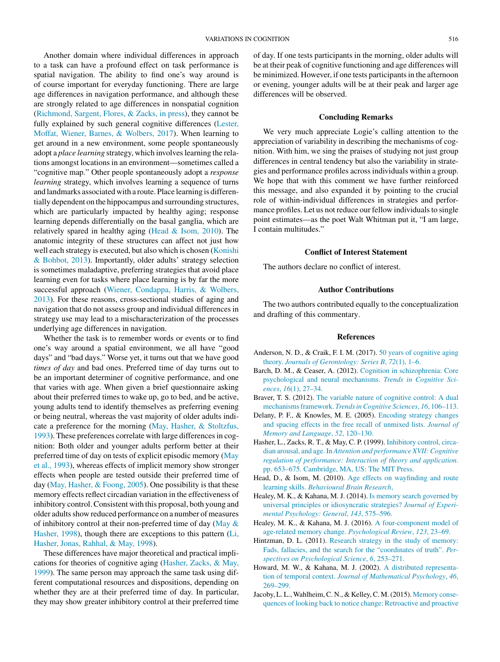<span id="page-2-0"></span>Another domain where individual differences in approach to a task can have a profound effect on task performance is spatial navigation. The ability to find one's way around is of course important for everyday functioning. There are large age differences in navigation performance, and although these are strongly related to age differences in nonspatial cognition [\(Richmond,](#page-3-0) [Sargent,](#page-3-0) [Flores,](#page-3-0) [&](#page-3-0) [Zacks,](#page-3-0) [in](#page-3-0) [press\),](#page-3-0) they cannot be fully explained by such general cognitive differences ([Lester,](#page-3-0) [Moffat,](#page-3-0) [Wiener,](#page-3-0) [Barnes,](#page-3-0) [&](#page-3-0) [Wolbers,](#page-3-0) [2017\).](#page-3-0) When learning to get around in a new environment, some people spontaneously adopt a *place learning* strategy, which involveslearning the relations amongst locations in an environment—sometimes called a "cognitive map." Other people spontaneously adopt a *response learning* strategy, which involves learning a sequence of turns and landmarks associated with a route. Place learning is differentially dependent on the hippocampus and surrounding structures, which are particularly impacted by healthy aging; response learning depends differentially on the basal ganglia, which are relatively spared in healthy aging (Head & Isom, 2010). The anatomic integrity of these structures can affect not just how well each strategy is executed, but also which is chosen ([Konishi](#page-3-0) [&](#page-3-0) [Bohbot,](#page-3-0) [2013\).](#page-3-0) Importantly, older adults' strategy selection is sometimes maladaptive, preferring strategies that avoid place learning even for tasks where place learning is by far the more successful approach [\(Wiener,](#page-3-0) [Condappa,](#page-3-0) [Harris,](#page-3-0) [&](#page-3-0) [Wolbers,](#page-3-0) [2013\).](#page-3-0) For these reasons, cross-sectional studies of aging and navigation that do not assess group and individual differences in strategy use may lead to a mischaracterization of the processes underlying age differences in navigation.

Whether the task is to remember words or events or to find one's way around a spatial environment, we all have "good days" and "bad days." Worse yet, it turns out that we have good *times of day* and bad ones. Preferred time of day turns out to be an important determiner of cognitive performance, and one that varies with age. When given a brief questionnaire asking about their preferred times to wake up, go to bed, and be active, young adults tend to identify themselves as preferring evening or being neutral, whereas the vast majority of older adults indicate a preference for the morning [\(May,](#page-3-0) [Hasher,](#page-3-0) [&](#page-3-0) [Stoltzfus,](#page-3-0) [1993\).](#page-3-0) These preferences correlate with large differencesin cognition: Both older and younger adults perform better at their preferred time of day on tests of explicit episodic memory ([May](#page-3-0) et [al.,](#page-3-0) [1993\),](#page-3-0) whereas effects of implicit memory show stronger effects when people are tested outside their preferred time of day ([May,](#page-3-0) [Hasher,](#page-3-0) [&](#page-3-0) [Foong,](#page-3-0) [2005\).](#page-3-0) One possibility is that these memory effects reflect circadian variation in the effectiveness of inhibitory control.Consistent with this proposal, both young and older adults show reduced performance on a number of measures of inhibitory control at their non-preferred time of day [\(May](#page-3-0) [&](#page-3-0) [Hasher,](#page-3-0) [1998\),](#page-3-0) though there are exceptions to this pattern ([Li,](#page-3-0) [Hasher,](#page-3-0) [Jonas,](#page-3-0) [Rahhal,](#page-3-0) [&](#page-3-0) [May,](#page-3-0) [1998\).](#page-3-0)

These differences have major theoretical and practical implications for theories of cognitive aging (Hasher, Zacks, & May, 1999). The same person may approach the same task using different computational resources and dispositions, depending on whether they are at their preferred time of day. In particular, they may show greater inhibitory control at their preferred time

of day. If one tests participants in the morning, older adults will be at their peak of cognitive functioning and age differences will be minimized. However, if one tests participants in the afternoon or evening, younger adults will be at their peak and larger age differences will be observed.

# **Concluding Remarks**

We very much appreciate Logie's calling attention to the appreciation of variability in describing the mechanisms of cognition. With him, we sing the praises of studying not just group differences in central tendency but also the variability in strategies and performance profiles across individuals within a group. We hope that with this comment we have further reinforced this message, and also expanded it by pointing to the crucial role of within-individual differences in strategies and performance profiles. Let us not reduce our fellow individuals to single point estimates—as the poet Walt Whitman put it, "I am large, I contain multitudes."

#### **Conflict of Interest Statement**

The authors declare no conflict of interest.

## **Author Contributions**

The two authors contributed equally to the conceptualization and drafting of this commentary.

#### **References**

- Anderson, N. D., & Craik, F. I. M. (2017). [50](http://refhub.elsevier.com/S2211-3681(18)30225-0/sbref0005) [years](http://refhub.elsevier.com/S2211-3681(18)30225-0/sbref0005) [of](http://refhub.elsevier.com/S2211-3681(18)30225-0/sbref0005) [cognitive](http://refhub.elsevier.com/S2211-3681(18)30225-0/sbref0005) [aging](http://refhub.elsevier.com/S2211-3681(18)30225-0/sbref0005) [theory.](http://refhub.elsevier.com/S2211-3681(18)30225-0/sbref0005) *[Journals](http://refhub.elsevier.com/S2211-3681(18)30225-0/sbref0005) [of](http://refhub.elsevier.com/S2211-3681(18)30225-0/sbref0005) [Gerontology:](http://refhub.elsevier.com/S2211-3681(18)30225-0/sbref0005) [Series](http://refhub.elsevier.com/S2211-3681(18)30225-0/sbref0005) [B](http://refhub.elsevier.com/S2211-3681(18)30225-0/sbref0005)*[,](http://refhub.elsevier.com/S2211-3681(18)30225-0/sbref0005) *[72](http://refhub.elsevier.com/S2211-3681(18)30225-0/sbref0005)*[\(1\),](http://refhub.elsevier.com/S2211-3681(18)30225-0/sbref0005) [1](http://refhub.elsevier.com/S2211-3681(18)30225-0/sbref0005)–[6.](http://refhub.elsevier.com/S2211-3681(18)30225-0/sbref0005)
- Barch, D. M., & Ceaser, A. (2012). [Cognition](http://refhub.elsevier.com/S2211-3681(18)30225-0/sbref0010) [in](http://refhub.elsevier.com/S2211-3681(18)30225-0/sbref0010) [schizophrenia:](http://refhub.elsevier.com/S2211-3681(18)30225-0/sbref0010) [Core](http://refhub.elsevier.com/S2211-3681(18)30225-0/sbref0010) [psychological](http://refhub.elsevier.com/S2211-3681(18)30225-0/sbref0010) [and](http://refhub.elsevier.com/S2211-3681(18)30225-0/sbref0010) [neural](http://refhub.elsevier.com/S2211-3681(18)30225-0/sbref0010) [mechanisms.](http://refhub.elsevier.com/S2211-3681(18)30225-0/sbref0010) *[Trends](http://refhub.elsevier.com/S2211-3681(18)30225-0/sbref0010) [in](http://refhub.elsevier.com/S2211-3681(18)30225-0/sbref0010) [Cognitive](http://refhub.elsevier.com/S2211-3681(18)30225-0/sbref0010) [Sci](http://refhub.elsevier.com/S2211-3681(18)30225-0/sbref0010)[ences](http://refhub.elsevier.com/S2211-3681(18)30225-0/sbref0010)*[,](http://refhub.elsevier.com/S2211-3681(18)30225-0/sbref0010) *[16](http://refhub.elsevier.com/S2211-3681(18)30225-0/sbref0010)*[\(1\),](http://refhub.elsevier.com/S2211-3681(18)30225-0/sbref0010) [27–34.](http://refhub.elsevier.com/S2211-3681(18)30225-0/sbref0010)
- Braver, T. S. (2012). [The](http://refhub.elsevier.com/S2211-3681(18)30225-0/sbref0015) [variable](http://refhub.elsevier.com/S2211-3681(18)30225-0/sbref0015) [nature](http://refhub.elsevier.com/S2211-3681(18)30225-0/sbref0015) [of](http://refhub.elsevier.com/S2211-3681(18)30225-0/sbref0015) [cognitive](http://refhub.elsevier.com/S2211-3681(18)30225-0/sbref0015) [control:](http://refhub.elsevier.com/S2211-3681(18)30225-0/sbref0015) [A](http://refhub.elsevier.com/S2211-3681(18)30225-0/sbref0015) [dual](http://refhub.elsevier.com/S2211-3681(18)30225-0/sbref0015) [mechanismsframework.](http://refhub.elsevier.com/S2211-3681(18)30225-0/sbref0015) *[TrendsinCognitive](http://refhub.elsevier.com/S2211-3681(18)30225-0/sbref0015) [Sciences](http://refhub.elsevier.com/S2211-3681(18)30225-0/sbref0015)*[,](http://refhub.elsevier.com/S2211-3681(18)30225-0/sbref0015) *[16](http://refhub.elsevier.com/S2211-3681(18)30225-0/sbref0015)*[,](http://refhub.elsevier.com/S2211-3681(18)30225-0/sbref0015) [106–113.](http://refhub.elsevier.com/S2211-3681(18)30225-0/sbref0015)
- Delany, P. F., & Knowles, M. E. (2005). [Encoding](http://refhub.elsevier.com/S2211-3681(18)30225-0/sbref0020) [strategy](http://refhub.elsevier.com/S2211-3681(18)30225-0/sbref0020) [changes](http://refhub.elsevier.com/S2211-3681(18)30225-0/sbref0020) [and](http://refhub.elsevier.com/S2211-3681(18)30225-0/sbref0020) [spacing](http://refhub.elsevier.com/S2211-3681(18)30225-0/sbref0020) [effects](http://refhub.elsevier.com/S2211-3681(18)30225-0/sbref0020) [in](http://refhub.elsevier.com/S2211-3681(18)30225-0/sbref0020) [the](http://refhub.elsevier.com/S2211-3681(18)30225-0/sbref0020) [free](http://refhub.elsevier.com/S2211-3681(18)30225-0/sbref0020) [recall](http://refhub.elsevier.com/S2211-3681(18)30225-0/sbref0020) [of](http://refhub.elsevier.com/S2211-3681(18)30225-0/sbref0020) [unmixed](http://refhub.elsevier.com/S2211-3681(18)30225-0/sbref0020) [lists.](http://refhub.elsevier.com/S2211-3681(18)30225-0/sbref0020) *[Journal](http://refhub.elsevier.com/S2211-3681(18)30225-0/sbref0020) [of](http://refhub.elsevier.com/S2211-3681(18)30225-0/sbref0020) [Memory](http://refhub.elsevier.com/S2211-3681(18)30225-0/sbref0020) [and](http://refhub.elsevier.com/S2211-3681(18)30225-0/sbref0020) [Language](http://refhub.elsevier.com/S2211-3681(18)30225-0/sbref0020)*[,](http://refhub.elsevier.com/S2211-3681(18)30225-0/sbref0020) *[52](http://refhub.elsevier.com/S2211-3681(18)30225-0/sbref0020)*[,](http://refhub.elsevier.com/S2211-3681(18)30225-0/sbref0020) [120–130.](http://refhub.elsevier.com/S2211-3681(18)30225-0/sbref0020)
- Hasher, L., Zacks, R. T., & May, C. P. (1999). [Inhibitory](http://refhub.elsevier.com/S2211-3681(18)30225-0/sbref0025) [control,](http://refhub.elsevier.com/S2211-3681(18)30225-0/sbref0025) [circa](http://refhub.elsevier.com/S2211-3681(18)30225-0/sbref0025)[dian](http://refhub.elsevier.com/S2211-3681(18)30225-0/sbref0025) [arousal,](http://refhub.elsevier.com/S2211-3681(18)30225-0/sbref0025) [and](http://refhub.elsevier.com/S2211-3681(18)30225-0/sbref0025) [age.](http://refhub.elsevier.com/S2211-3681(18)30225-0/sbref0025) [In](http://refhub.elsevier.com/S2211-3681(18)30225-0/sbref0025) *[Attention](http://refhub.elsevier.com/S2211-3681(18)30225-0/sbref0025) [and](http://refhub.elsevier.com/S2211-3681(18)30225-0/sbref0025) [performance](http://refhub.elsevier.com/S2211-3681(18)30225-0/sbref0025) [XVII:](http://refhub.elsevier.com/S2211-3681(18)30225-0/sbref0025) [Cognitive](http://refhub.elsevier.com/S2211-3681(18)30225-0/sbref0025) [regulation](http://refhub.elsevier.com/S2211-3681(18)30225-0/sbref0025) [of](http://refhub.elsevier.com/S2211-3681(18)30225-0/sbref0025) [performance:](http://refhub.elsevier.com/S2211-3681(18)30225-0/sbref0025) [Interaction](http://refhub.elsevier.com/S2211-3681(18)30225-0/sbref0025) [of](http://refhub.elsevier.com/S2211-3681(18)30225-0/sbref0025) [theory](http://refhub.elsevier.com/S2211-3681(18)30225-0/sbref0025) [and](http://refhub.elsevier.com/S2211-3681(18)30225-0/sbref0025) [application](http://refhub.elsevier.com/S2211-3681(18)30225-0/sbref0025)*[.](http://refhub.elsevier.com/S2211-3681(18)30225-0/sbref0025) [pp.](http://refhub.elsevier.com/S2211-3681(18)30225-0/sbref0025) [653–675.](http://refhub.elsevier.com/S2211-3681(18)30225-0/sbref0025) [Cambridge,](http://refhub.elsevier.com/S2211-3681(18)30225-0/sbref0025) [MA,](http://refhub.elsevier.com/S2211-3681(18)30225-0/sbref0025) [US:](http://refhub.elsevier.com/S2211-3681(18)30225-0/sbref0025) [The](http://refhub.elsevier.com/S2211-3681(18)30225-0/sbref0025) [MIT](http://refhub.elsevier.com/S2211-3681(18)30225-0/sbref0025) [Press.](http://refhub.elsevier.com/S2211-3681(18)30225-0/sbref0025)
- Head, D., & Isom, M. (2010). [Age](http://refhub.elsevier.com/S2211-3681(18)30225-0/sbref0030) [effects](http://refhub.elsevier.com/S2211-3681(18)30225-0/sbref0030) [on](http://refhub.elsevier.com/S2211-3681(18)30225-0/sbref0030) [wayfinding](http://refhub.elsevier.com/S2211-3681(18)30225-0/sbref0030) [and](http://refhub.elsevier.com/S2211-3681(18)30225-0/sbref0030) [route](http://refhub.elsevier.com/S2211-3681(18)30225-0/sbref0030) [learning](http://refhub.elsevier.com/S2211-3681(18)30225-0/sbref0030) [skills.](http://refhub.elsevier.com/S2211-3681(18)30225-0/sbref0030) *[Behavioural](http://refhub.elsevier.com/S2211-3681(18)30225-0/sbref0030) [Brain](http://refhub.elsevier.com/S2211-3681(18)30225-0/sbref0030) [Research](http://refhub.elsevier.com/S2211-3681(18)30225-0/sbref0030)*[,](http://refhub.elsevier.com/S2211-3681(18)30225-0/sbref0030)
- Healey, M. K., & Kahana, M. J. (2014). [Is](http://refhub.elsevier.com/S2211-3681(18)30225-0/sbref0035) [memory](http://refhub.elsevier.com/S2211-3681(18)30225-0/sbref0035) [search](http://refhub.elsevier.com/S2211-3681(18)30225-0/sbref0035) [governed](http://refhub.elsevier.com/S2211-3681(18)30225-0/sbref0035) [by](http://refhub.elsevier.com/S2211-3681(18)30225-0/sbref0035) [universal](http://refhub.elsevier.com/S2211-3681(18)30225-0/sbref0035) [principles](http://refhub.elsevier.com/S2211-3681(18)30225-0/sbref0035) [or](http://refhub.elsevier.com/S2211-3681(18)30225-0/sbref0035) [idiosyncratic](http://refhub.elsevier.com/S2211-3681(18)30225-0/sbref0035) [strategies?](http://refhub.elsevier.com/S2211-3681(18)30225-0/sbref0035) *[Journal](http://refhub.elsevier.com/S2211-3681(18)30225-0/sbref0035) [of](http://refhub.elsevier.com/S2211-3681(18)30225-0/sbref0035) [Experi](http://refhub.elsevier.com/S2211-3681(18)30225-0/sbref0035)[mental](http://refhub.elsevier.com/S2211-3681(18)30225-0/sbref0035) [Psychology:](http://refhub.elsevier.com/S2211-3681(18)30225-0/sbref0035) [General](http://refhub.elsevier.com/S2211-3681(18)30225-0/sbref0035)*[,](http://refhub.elsevier.com/S2211-3681(18)30225-0/sbref0035) *[143](http://refhub.elsevier.com/S2211-3681(18)30225-0/sbref0035)*[,](http://refhub.elsevier.com/S2211-3681(18)30225-0/sbref0035) [575](http://refhub.elsevier.com/S2211-3681(18)30225-0/sbref0035)–[596.](http://refhub.elsevier.com/S2211-3681(18)30225-0/sbref0035)
- Healey, M. K., & Kahana, M. J. (2016). [A](http://refhub.elsevier.com/S2211-3681(18)30225-0/sbref0040) [four-component](http://refhub.elsevier.com/S2211-3681(18)30225-0/sbref0040) [model](http://refhub.elsevier.com/S2211-3681(18)30225-0/sbref0040) [of](http://refhub.elsevier.com/S2211-3681(18)30225-0/sbref0040) [age-related](http://refhub.elsevier.com/S2211-3681(18)30225-0/sbref0040) [memory](http://refhub.elsevier.com/S2211-3681(18)30225-0/sbref0040) [change.](http://refhub.elsevier.com/S2211-3681(18)30225-0/sbref0040) *[Psychological](http://refhub.elsevier.com/S2211-3681(18)30225-0/sbref0040) [Review](http://refhub.elsevier.com/S2211-3681(18)30225-0/sbref0040)*[,](http://refhub.elsevier.com/S2211-3681(18)30225-0/sbref0040) *[123](http://refhub.elsevier.com/S2211-3681(18)30225-0/sbref0040)*[,](http://refhub.elsevier.com/S2211-3681(18)30225-0/sbref0040) [23](http://refhub.elsevier.com/S2211-3681(18)30225-0/sbref0040)–[69.](http://refhub.elsevier.com/S2211-3681(18)30225-0/sbref0040)
- Hintzman, D. L. (2011). [Research](http://refhub.elsevier.com/S2211-3681(18)30225-0/sbref0045) [strategy](http://refhub.elsevier.com/S2211-3681(18)30225-0/sbref0045) [in](http://refhub.elsevier.com/S2211-3681(18)30225-0/sbref0045) [the](http://refhub.elsevier.com/S2211-3681(18)30225-0/sbref0045) [study](http://refhub.elsevier.com/S2211-3681(18)30225-0/sbref0045) [of](http://refhub.elsevier.com/S2211-3681(18)30225-0/sbref0045) [memory:](http://refhub.elsevier.com/S2211-3681(18)30225-0/sbref0045) [Fads,](http://refhub.elsevier.com/S2211-3681(18)30225-0/sbref0045) [fallacies,](http://refhub.elsevier.com/S2211-3681(18)30225-0/sbref0045) [and](http://refhub.elsevier.com/S2211-3681(18)30225-0/sbref0045) [the](http://refhub.elsevier.com/S2211-3681(18)30225-0/sbref0045) [search](http://refhub.elsevier.com/S2211-3681(18)30225-0/sbref0045) [for](http://refhub.elsevier.com/S2211-3681(18)30225-0/sbref0045) [the](http://refhub.elsevier.com/S2211-3681(18)30225-0/sbref0045) ["coordinates](http://refhub.elsevier.com/S2211-3681(18)30225-0/sbref0045) [of](http://refhub.elsevier.com/S2211-3681(18)30225-0/sbref0045) [truth".](http://refhub.elsevier.com/S2211-3681(18)30225-0/sbref0045) *[Per](http://refhub.elsevier.com/S2211-3681(18)30225-0/sbref0045)[spectives](http://refhub.elsevier.com/S2211-3681(18)30225-0/sbref0045) [on](http://refhub.elsevier.com/S2211-3681(18)30225-0/sbref0045) [Psychological](http://refhub.elsevier.com/S2211-3681(18)30225-0/sbref0045) [Science](http://refhub.elsevier.com/S2211-3681(18)30225-0/sbref0045)*[,](http://refhub.elsevier.com/S2211-3681(18)30225-0/sbref0045) *[6](http://refhub.elsevier.com/S2211-3681(18)30225-0/sbref0045)*[,](http://refhub.elsevier.com/S2211-3681(18)30225-0/sbref0045) [253](http://refhub.elsevier.com/S2211-3681(18)30225-0/sbref0045)–[271.](http://refhub.elsevier.com/S2211-3681(18)30225-0/sbref0045)
- Howard, M. W., & Kahana, M. J. (2002). [A](http://refhub.elsevier.com/S2211-3681(18)30225-0/sbref0050) [distributed](http://refhub.elsevier.com/S2211-3681(18)30225-0/sbref0050) [representa](http://refhub.elsevier.com/S2211-3681(18)30225-0/sbref0050)[tion](http://refhub.elsevier.com/S2211-3681(18)30225-0/sbref0050) [of](http://refhub.elsevier.com/S2211-3681(18)30225-0/sbref0050) [temporal](http://refhub.elsevier.com/S2211-3681(18)30225-0/sbref0050) [context.](http://refhub.elsevier.com/S2211-3681(18)30225-0/sbref0050) *[Journal](http://refhub.elsevier.com/S2211-3681(18)30225-0/sbref0050) [of](http://refhub.elsevier.com/S2211-3681(18)30225-0/sbref0050) [Mathematical](http://refhub.elsevier.com/S2211-3681(18)30225-0/sbref0050) [Psychology](http://refhub.elsevier.com/S2211-3681(18)30225-0/sbref0050)*[,](http://refhub.elsevier.com/S2211-3681(18)30225-0/sbref0050) *[46](http://refhub.elsevier.com/S2211-3681(18)30225-0/sbref0050)*[,](http://refhub.elsevier.com/S2211-3681(18)30225-0/sbref0050) [269](http://refhub.elsevier.com/S2211-3681(18)30225-0/sbref0050)–[299.](http://refhub.elsevier.com/S2211-3681(18)30225-0/sbref0050)
- Jacoby, L. L., Wahlheim, C. N., & Kelley, C. M. (2015). [Memory](http://refhub.elsevier.com/S2211-3681(18)30225-0/sbref0055) [conse](http://refhub.elsevier.com/S2211-3681(18)30225-0/sbref0055)[quences](http://refhub.elsevier.com/S2211-3681(18)30225-0/sbref0055) [of](http://refhub.elsevier.com/S2211-3681(18)30225-0/sbref0055) [looking](http://refhub.elsevier.com/S2211-3681(18)30225-0/sbref0055) [back](http://refhub.elsevier.com/S2211-3681(18)30225-0/sbref0055) [to](http://refhub.elsevier.com/S2211-3681(18)30225-0/sbref0055) [notice](http://refhub.elsevier.com/S2211-3681(18)30225-0/sbref0055) [change:](http://refhub.elsevier.com/S2211-3681(18)30225-0/sbref0055) [Retroactive](http://refhub.elsevier.com/S2211-3681(18)30225-0/sbref0055) [and](http://refhub.elsevier.com/S2211-3681(18)30225-0/sbref0055) [proactive](http://refhub.elsevier.com/S2211-3681(18)30225-0/sbref0055)